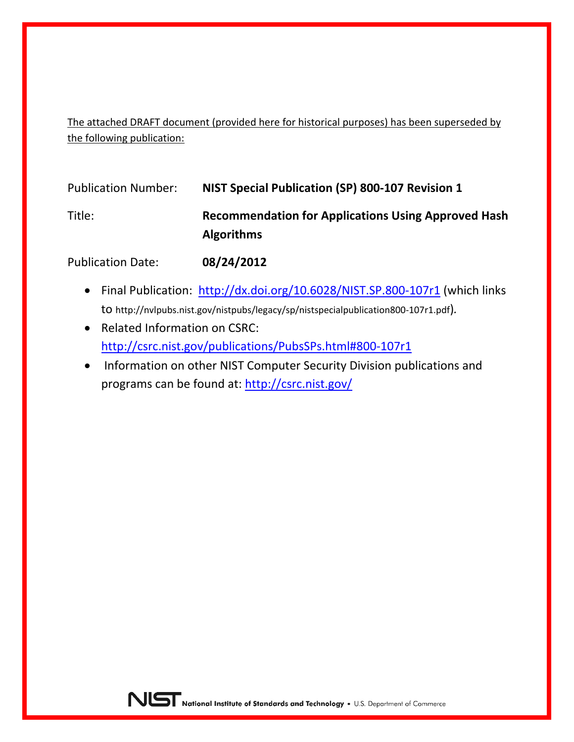The attached DRAFT document (provided here for historical purposes) has been superseded by the following publication:

| <b>Publication Number:</b> | NIST Special Publication (SP) 800-107 Revision 1                                |
|----------------------------|---------------------------------------------------------------------------------|
| Title:                     | <b>Recommendation for Applications Using Approved Hash</b><br><b>Algorithms</b> |
| <b>Publication Date:</b>   | 08/24/2012                                                                      |

- Final Publication: <http://dx.doi.org/10.6028/NIST.SP.800-107r1> (which links to http://nvlpubs.nist.gov/nistpubs/legacy/sp/nistspecialpublication800-107r1.pdf)*.*
- Related Information on CSRC: <http://csrc.nist.gov/publications/PubsSPs.html#800-107r1>
- Information on other NIST Computer Security Division publications and programs can be found at:<http://csrc.nist.gov/>

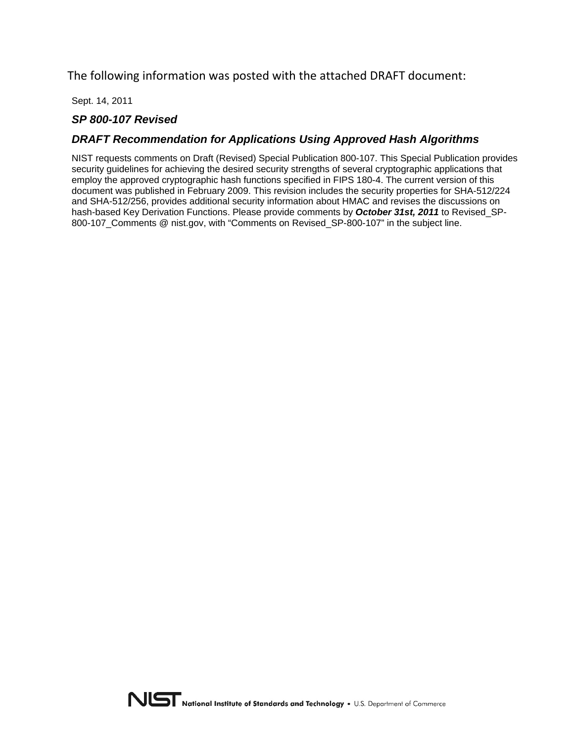The following information was posted with the attached DRAFT document:

Sept. 14, 2011

#### *SP 800-107 Revised*

#### *DRAFT Recommendation for Applications Using Approved Hash Algorithms*

NIST requests comments on Draft (Revised) Special Publication 800-107. This Special Publication provides security guidelines for achieving the desired security strengths of several cryptographic applications that employ the approved cryptographic hash functions specified in FIPS 180-4. The current version of this document was published in February 2009. This revision includes the security properties for SHA-512/224 and SHA-512/256, provides additional security information about HMAC and revises the discussions on hash-based Key Derivation Functions. Please provide comments by *October 31st, 2011* to Revised\_SP-800-107 Comments @ nist.gov, with "Comments on Revised SP-800-107" in the subject line.

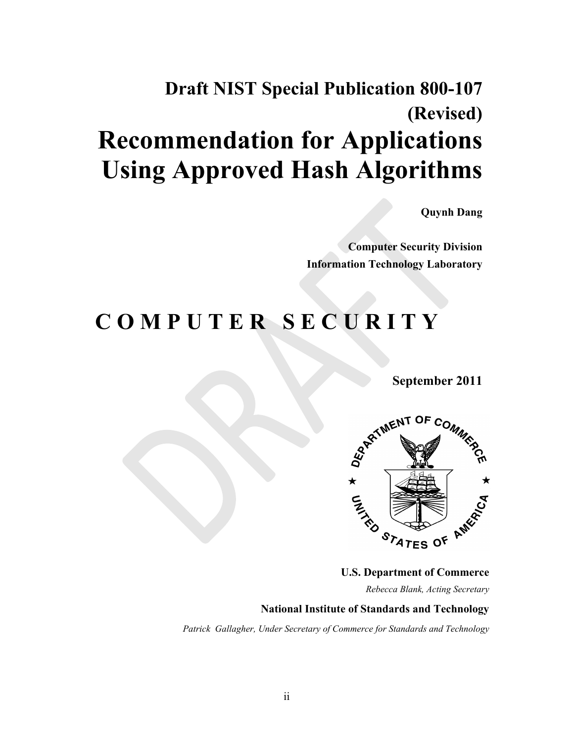# **Draft NIST Special Publication 800-107 (Revised) Recommendation for Applications Using Approved Hash Algorithms**

**Quynh Dang** 

**Computer Security Division Information Technology Laboratory** 

# **C O M P U T E R S E C U R I T Y**



**U.S. Department of Commerce** 

 *Rebecca Blank, Acting Secretary* 

#### **National Institute of Standards and Technology**

 *Patrick Gallagher, Under Secretary of Commerce for Standards and Technology*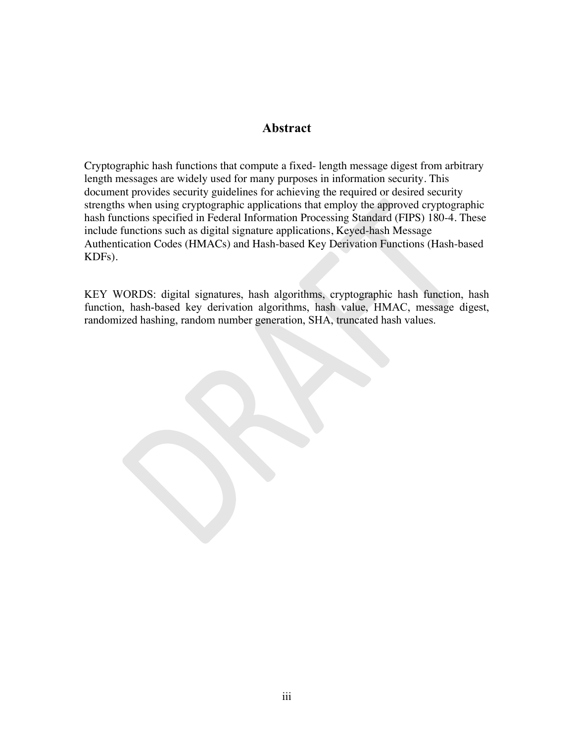#### **Abstract**

 KDFs). Cryptographic hash functions that compute a fixed- length message digest from arbitrary length messages are widely used for many purposes in information security. This document provides security guidelines for achieving the required or desired security strengths when using cryptographic applications that employ the approved cryptographic hash functions specified in Federal Information Processing Standard (FIPS) 180-4. These include functions such as digital signature applications, Keyed-hash Message Authentication Codes (HMACs) and Hash-based Key Derivation Functions (Hash-based

KEY WORDS: digital signatures, hash algorithms, cryptographic hash function, hash function, hash-based key derivation algorithms, hash value, HMAC, message digest, randomized hashing, random number generation, SHA, truncated hash values.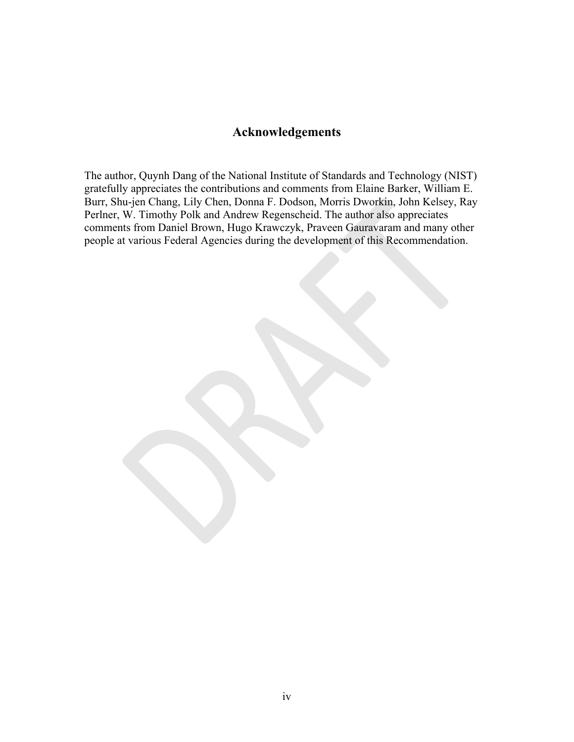#### **Acknowledgements**

The author, Quynh Dang of the National Institute of Standards and Technology (NIST) gratefully appreciates the contributions and comments from Elaine Barker, William E. Burr, Shu-jen Chang, Lily Chen, Donna F. Dodson, Morris Dworkin, John Kelsey, Ray Perlner, W. Timothy Polk and Andrew Regenscheid. The author also appreciates comments from Daniel Brown, Hugo Krawczyk, Praveen Gauravaram and many other people at various Federal Agencies during the development of this Recommendation.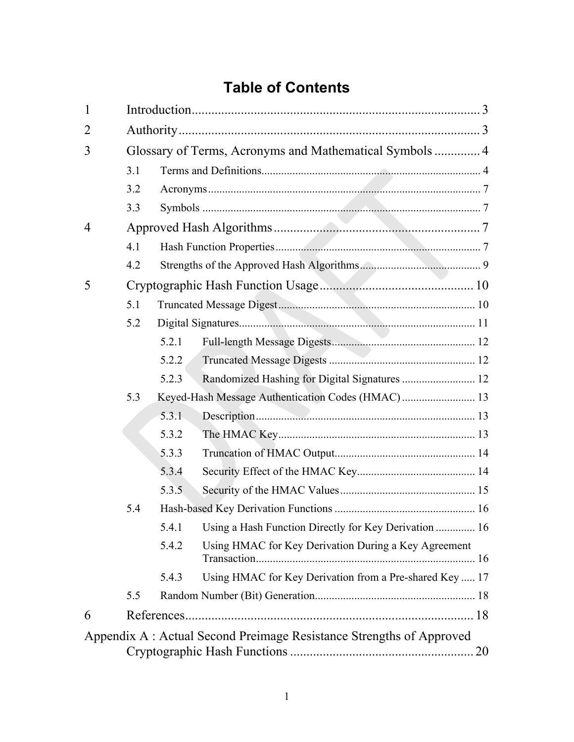# **Table of Contents**

| $\mathbf{1}$   |     |                                                         |                                                                     |    |  |  |
|----------------|-----|---------------------------------------------------------|---------------------------------------------------------------------|----|--|--|
| $\overline{2}$ |     |                                                         |                                                                     |    |  |  |
| 3              |     | Glossary of Terms, Acronyms and Mathematical Symbols  4 |                                                                     |    |  |  |
|                | 3.1 |                                                         |                                                                     |    |  |  |
|                | 3.2 |                                                         |                                                                     |    |  |  |
|                | 3.3 |                                                         |                                                                     |    |  |  |
| $\overline{4}$ |     |                                                         |                                                                     |    |  |  |
|                | 4.1 |                                                         |                                                                     |    |  |  |
|                | 4.2 |                                                         |                                                                     |    |  |  |
| 5              |     |                                                         |                                                                     |    |  |  |
|                | 5.1 |                                                         |                                                                     |    |  |  |
|                | 5.2 |                                                         |                                                                     |    |  |  |
|                |     | 5.2.1                                                   |                                                                     |    |  |  |
|                |     | 5.2.2                                                   |                                                                     |    |  |  |
|                |     | 5.2.3                                                   | Randomized Hashing for Digital Signatures  12                       |    |  |  |
|                | 5.3 |                                                         |                                                                     |    |  |  |
|                |     | 5.3.1                                                   |                                                                     |    |  |  |
|                |     | 5.3.2                                                   |                                                                     |    |  |  |
|                |     | 5.3.3                                                   |                                                                     |    |  |  |
|                |     | 5.3.4                                                   |                                                                     |    |  |  |
|                |     | 5.3.5                                                   |                                                                     |    |  |  |
|                | 5.4 |                                                         |                                                                     |    |  |  |
|                |     | 5.4.1                                                   | Using a Hash Function Directly for Key Derivation  16               |    |  |  |
|                |     | 5.4.2                                                   | Using HMAC for Key Derivation During a Key Agreement                |    |  |  |
|                |     | 5.4.3                                                   | Using HMAC for Key Derivation from a Pre-shared Key  17             |    |  |  |
|                | 5.5 |                                                         |                                                                     |    |  |  |
| 6              |     |                                                         |                                                                     |    |  |  |
|                |     |                                                         | Appendix A: Actual Second Preimage Resistance Strengths of Approved |    |  |  |
|                |     |                                                         |                                                                     | 20 |  |  |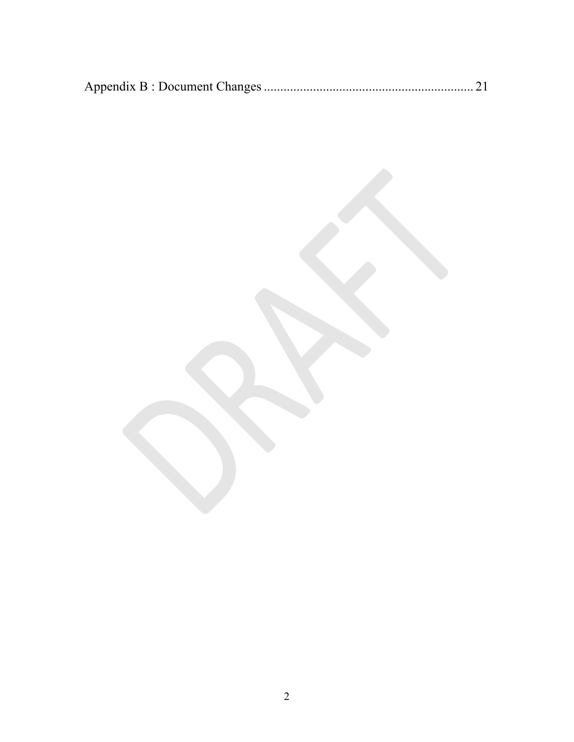|--|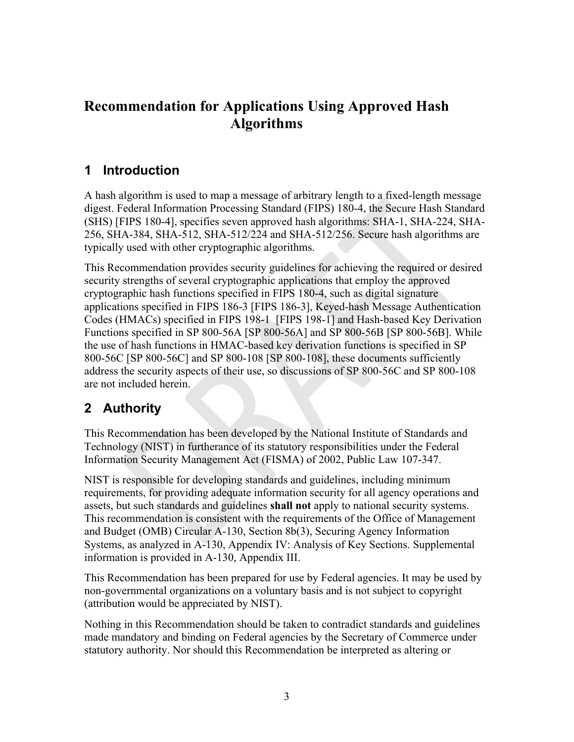# <span id="page-7-0"></span> **Recommendation for Applications Using Approved Hash Algorithms**

### **1 Introduction**

typically used with other cryptographic algorithms. A hash algorithm is used to map a message of arbitrary length to a fixed-length message digest. Federal Information Processing Standard (FIPS) 180-4, the Secure Hash Standard (SHS) [FIPS 180-4], specifies seven approved hash algorithms: SHA-1, SHA-224, SHA-256, SHA-384, SHA-512, SHA-512/224 and SHA-512/256. Secure hash algorithms are

 are not included herein. This Recommendation provides security guidelines for achieving the required or desired security strengths of several cryptographic applications that employ the approved cryptographic hash functions specified in FIPS 180-4, such as digital signature applications specified in FIPS 186-3 [FIPS 186-3], Keyed-hash Message Authentication Codes (HMACs) specified in FIPS 198-1 [FIPS 198-1] and Hash-based Key Derivation Functions specified in SP 800-56A [SP 800-56A] and SP 800-56B [SP 800-56B]. While the use of hash functions in HMAC-based key derivation functions is specified in SP 800-56C [SP 800-56C] and SP 800-108 [SP 800-108], these documents sufficiently address the security aspects of their use, so discussions of SP 800-56C and SP 800-108

# **2 Authority**

This Recommendation has been developed by the National Institute of Standards and Technology (NIST) in furtherance of its statutory responsibilities under the Federal Information Security Management Act (FISMA) of 2002, Public Law 107-347.

NIST is responsible for developing standards and guidelines, including minimum requirements, for providing adequate information security for all agency operations and assets, but such standards and guidelines **shall not** apply to national security systems. This recommendation is consistent with the requirements of the Office of Management and Budget (OMB) Circular A-130, Section 8b(3), Securing Agency Information Systems, as analyzed in A-130, Appendix IV: Analysis of Key Sections. Supplemental information is provided in A-130, Appendix III.

(attribution would be appreciated by NIST). This Recommendation has been prepared for use by Federal agencies. It may be used by non-governmental organizations on a voluntary basis and is not subject to copyright

Nothing in this Recommendation should be taken to contradict standards and guidelines made mandatory and binding on Federal agencies by the Secretary of Commerce under statutory authority. Nor should this Recommendation be interpreted as altering or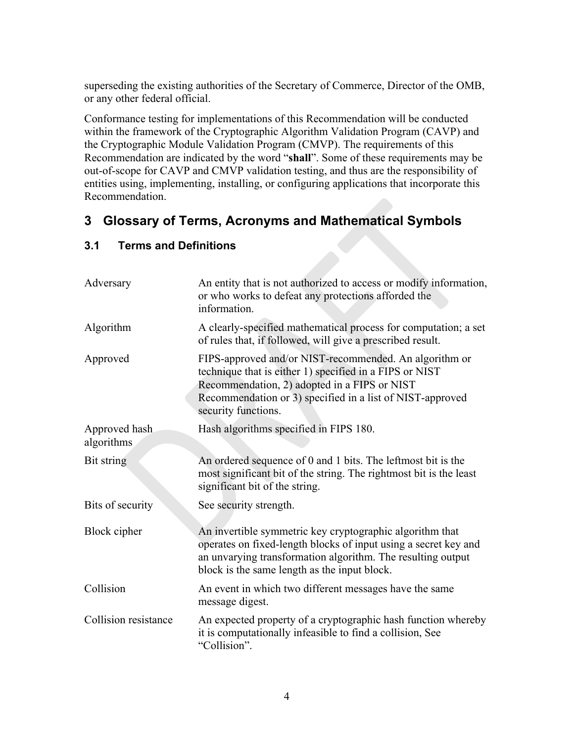<span id="page-8-0"></span>superseding the existing authorities of the Secretary of Commerce, Director of the OMB, or any other federal official.

 Recommendation. Conformance testing for implementations of this Recommendation will be conducted within the framework of the Cryptographic Algorithm Validation Program (CAVP) and the Cryptographic Module Validation Program (CMVP). The requirements of this Recommendation are indicated by the word "**shall**". Some of these requirements may be out-of-scope for CAVP and CMVP validation testing, and thus are the responsibility of entities using, implementing, installing, or configuring applications that incorporate this

## **3 Glossary of Terms, Acronyms and Mathematical Symbols**

| Adversary                   | An entity that is not authorized to access or modify information,<br>or who works to defeat any protections afforded the<br>information.                                                                                                              |
|-----------------------------|-------------------------------------------------------------------------------------------------------------------------------------------------------------------------------------------------------------------------------------------------------|
| Algorithm                   | A clearly-specified mathematical process for computation; a set<br>of rules that, if followed, will give a prescribed result.                                                                                                                         |
| Approved                    | FIPS-approved and/or NIST-recommended. An algorithm or<br>technique that is either 1) specified in a FIPS or NIST<br>Recommendation, 2) adopted in a FIPS or NIST<br>Recommendation or 3) specified in a list of NIST-approved<br>security functions. |
| Approved hash<br>algorithms | Hash algorithms specified in FIPS 180.                                                                                                                                                                                                                |
| Bit string                  | An ordered sequence of 0 and 1 bits. The leftmost bit is the<br>most significant bit of the string. The rightmost bit is the least<br>significant bit of the string.                                                                                  |
| Bits of security            | See security strength.                                                                                                                                                                                                                                |
| Block cipher                | An invertible symmetric key cryptographic algorithm that<br>operates on fixed-length blocks of input using a secret key and<br>an unvarying transformation algorithm. The resulting output<br>block is the same length as the input block.            |
| Collision                   | An event in which two different messages have the same<br>message digest.                                                                                                                                                                             |
| Collision resistance        | An expected property of a cryptographic hash function whereby<br>it is computationally infeasible to find a collision, See<br>"Collision".                                                                                                            |

#### **3.1 Terms and Definitions**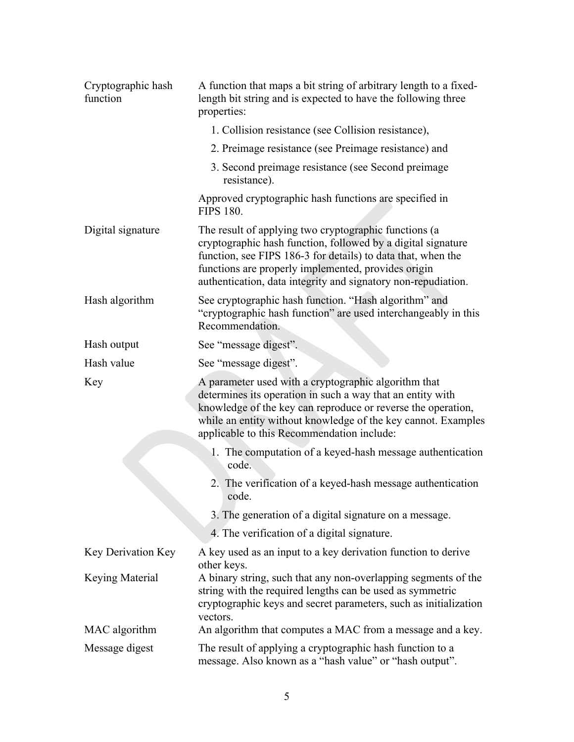| Cryptographic hash<br>function | A function that maps a bit string of arbitrary length to a fixed-<br>length bit string and is expected to have the following three<br>properties:                                                                                                                                                             |  |  |
|--------------------------------|---------------------------------------------------------------------------------------------------------------------------------------------------------------------------------------------------------------------------------------------------------------------------------------------------------------|--|--|
|                                | 1. Collision resistance (see Collision resistance),                                                                                                                                                                                                                                                           |  |  |
|                                | 2. Preimage resistance (see Preimage resistance) and                                                                                                                                                                                                                                                          |  |  |
|                                | 3. Second preimage resistance (see Second preimage<br>resistance).                                                                                                                                                                                                                                            |  |  |
|                                | Approved cryptographic hash functions are specified in<br><b>FIPS 180.</b>                                                                                                                                                                                                                                    |  |  |
| Digital signature              | The result of applying two cryptographic functions (a<br>cryptographic hash function, followed by a digital signature<br>function, see FIPS 186-3 for details) to data that, when the<br>functions are properly implemented, provides origin<br>authentication, data integrity and signatory non-repudiation. |  |  |
| Hash algorithm                 | See cryptographic hash function. "Hash algorithm" and<br>"cryptographic hash function" are used interchangeably in this<br>Recommendation.                                                                                                                                                                    |  |  |
| Hash output                    | See "message digest".                                                                                                                                                                                                                                                                                         |  |  |
| Hash value                     | See "message digest".                                                                                                                                                                                                                                                                                         |  |  |
| Key                            | A parameter used with a cryptographic algorithm that<br>determines its operation in such a way that an entity with<br>knowledge of the key can reproduce or reverse the operation,<br>while an entity without knowledge of the key cannot. Examples<br>applicable to this Recommendation include:             |  |  |
|                                | 1. The computation of a keyed-hash message authentication<br>code.                                                                                                                                                                                                                                            |  |  |
|                                | 2. The verification of a keyed-hash message authentication<br>code.                                                                                                                                                                                                                                           |  |  |
|                                | 3. The generation of a digital signature on a message.                                                                                                                                                                                                                                                        |  |  |
|                                | 4. The verification of a digital signature.                                                                                                                                                                                                                                                                   |  |  |
| <b>Key Derivation Key</b>      | A key used as an input to a key derivation function to derive<br>other keys.                                                                                                                                                                                                                                  |  |  |
| Keying Material                | A binary string, such that any non-overlapping segments of the<br>string with the required lengths can be used as symmetric<br>cryptographic keys and secret parameters, such as initialization<br>vectors.                                                                                                   |  |  |
| MAC algorithm                  | An algorithm that computes a MAC from a message and a key.                                                                                                                                                                                                                                                    |  |  |
| Message digest                 | The result of applying a cryptographic hash function to a<br>message. Also known as a "hash value" or "hash output".                                                                                                                                                                                          |  |  |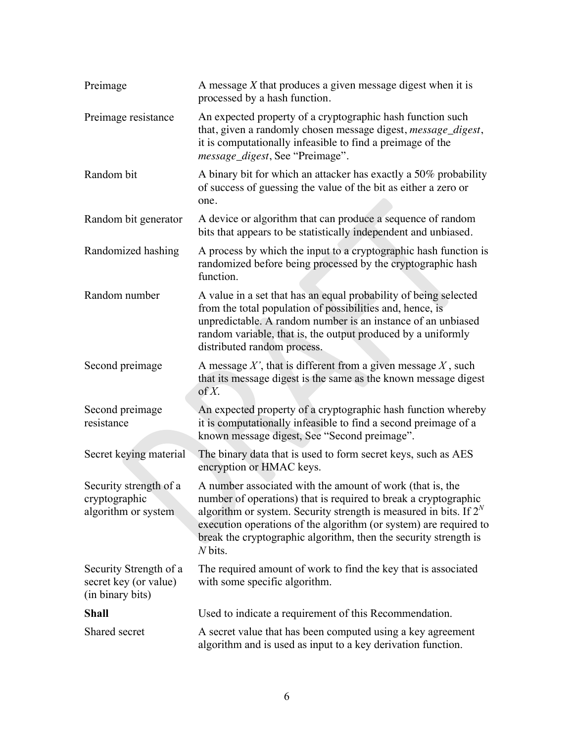| Preimage                                                            | A message $X$ that produces a given message digest when it is<br>processed by a hash function.                                                                                                                                                                                                                                                             |
|---------------------------------------------------------------------|------------------------------------------------------------------------------------------------------------------------------------------------------------------------------------------------------------------------------------------------------------------------------------------------------------------------------------------------------------|
| Preimage resistance                                                 | An expected property of a cryptographic hash function such<br>that, given a randomly chosen message digest, message_digest,<br>it is computationally infeasible to find a preimage of the<br><i>message_digest</i> , See "Preimage".                                                                                                                       |
| Random bit                                                          | A binary bit for which an attacker has exactly a 50% probability<br>of success of guessing the value of the bit as either a zero or<br>one.                                                                                                                                                                                                                |
| Random bit generator                                                | A device or algorithm that can produce a sequence of random<br>bits that appears to be statistically independent and unbiased.                                                                                                                                                                                                                             |
| Randomized hashing                                                  | A process by which the input to a cryptographic hash function is<br>randomized before being processed by the cryptographic hash<br>function.                                                                                                                                                                                                               |
| Random number                                                       | A value in a set that has an equal probability of being selected<br>from the total population of possibilities and, hence, is<br>unpredictable. A random number is an instance of an unbiased<br>random variable, that is, the output produced by a uniformly<br>distributed random process.                                                               |
| Second preimage                                                     | A message $X'$ , that is different from a given message $X$ , such<br>that its message digest is the same as the known message digest<br>of $X$ .                                                                                                                                                                                                          |
| Second preimage<br>resistance                                       | An expected property of a cryptographic hash function whereby<br>it is computationally infeasible to find a second preimage of a<br>known message digest, See "Second preimage".                                                                                                                                                                           |
| Secret keying material                                              | The binary data that is used to form secret keys, such as AES<br>encryption or HMAC keys.                                                                                                                                                                                                                                                                  |
| Security strength of a<br>cryptographic<br>algorithm or system      | A number associated with the amount of work (that is, the<br>number of operations) that is required to break a cryptographic<br>algorithm or system. Security strength is measured in bits. If $2^N$<br>execution operations of the algorithm (or system) are required to<br>break the cryptographic algorithm, then the security strength is<br>$N$ bits. |
| Security Strength of a<br>secret key (or value)<br>(in binary bits) | The required amount of work to find the key that is associated<br>with some specific algorithm.                                                                                                                                                                                                                                                            |
| <b>Shall</b>                                                        | Used to indicate a requirement of this Recommendation.                                                                                                                                                                                                                                                                                                     |
| Shared secret                                                       | A secret value that has been computed using a key agreement<br>algorithm and is used as input to a key derivation function.                                                                                                                                                                                                                                |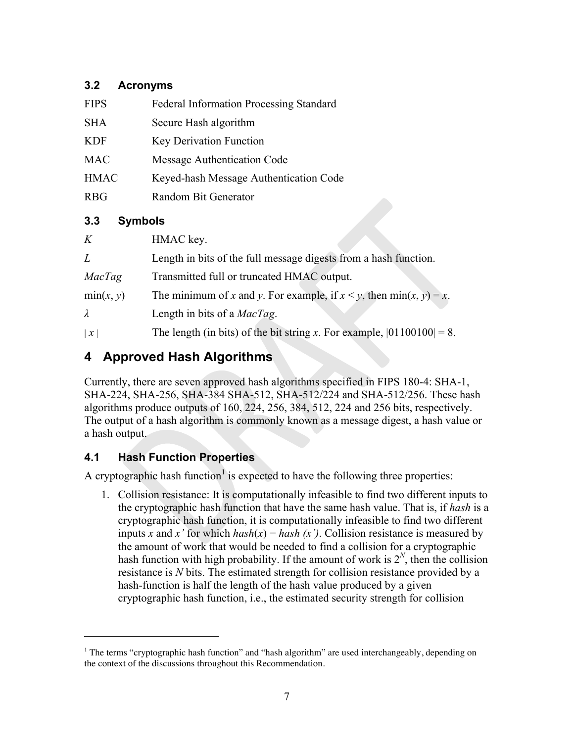#### **3.2 Acronyms**

| <b>FIPS</b> | <b>Federal Information Processing Standard</b> |
|-------------|------------------------------------------------|
| <b>SHA</b>  | Secure Hash algorithm                          |
| <b>KDF</b>  | Key Derivation Function                        |
| <b>MAC</b>  | Message Authentication Code                    |
| <b>HMAC</b> | Keyed-hash Message Authentication Code         |
| <b>RBG</b>  | Random Bit Generator                           |
|             |                                                |

#### **3.3 Symbols**

| K               | HMAC key.                                                                 |
|-----------------|---------------------------------------------------------------------------|
| L               | Length in bits of the full message digests from a hash function.          |
| MacTag          | Transmitted full or truncated HMAC output.                                |
| min(x, y)       | The minimum of x and y. For example, if $x < y$ , then min $(x, y) = x$ . |
| $\lambda$       | Length in bits of a <i>MacTag</i> .                                       |
| $\vert x \vert$ | The length (in bits) of the bit string x. For example, $ 01100100  = 8$ . |

# **4 Approved Hash Algorithms**

Currently, there are seven approved hash algorithms specified in FIPS 180-4: SHA-1, SHA-224, SHA-256, SHA-384 SHA-512, SHA-512/224 and SHA-512/256. These hash algorithms produce outputs of 160, 224, 256, 384, 512, 224 and 256 bits, respectively. The output of a hash algorithm is commonly known as a message digest, a hash value or a hash output.

### **4.1 Hash Function Properties**

 $\overline{a}$ 

A cryptographic hash function<sup>1</sup> is expected to have the following three properties:

1. Collision resistance: It is computationally infeasible to find two different inputs to the cryptographic hash function that have the same hash value. That is, if *hash* is a cryptographic hash function, it is computationally infeasible to find two different inputs *x* and *x'* for which  $hash(x) = hash(x')$ . Collision resistance is measured by the amount of work that would be needed to find a collision for a cryptographic hash function with high probability. If the amount of work is  $2^N$ , then the collision resistance is *N* bits. The estimated strength for collision resistance provided by a hash-function is half the length of the hash value produced by a given cryptographic hash function, i.e., the estimated security strength for collision

<sup>&</sup>lt;sup>1</sup> The terms "cryptographic hash function" and "hash algorithm" are used interchangeably, depending on the context of the discussions throughout this Recommendation.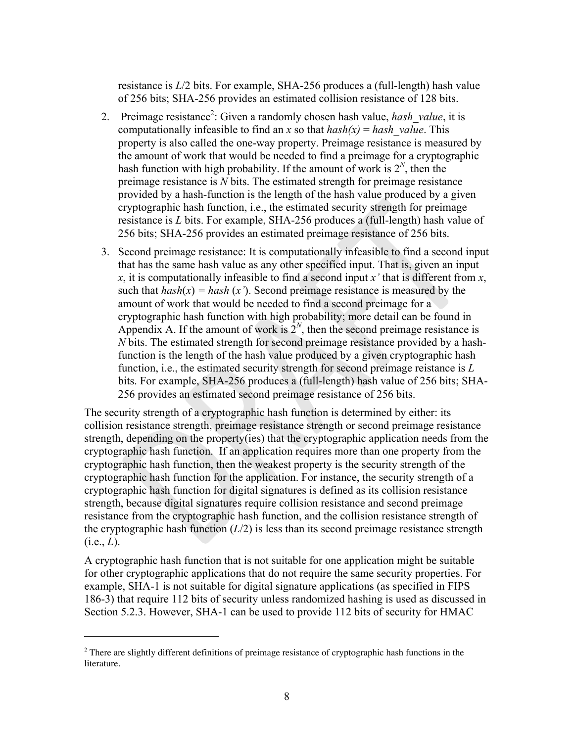resistance is *L*/2 bits. For example, SHA-256 produces a (full-length) hash value of 256 bits; SHA-256 provides an estimated collision resistance of 128 bits.

- 256 bits; SHA-256 provides an estimated preimage resistance of 256 bits. 2. Preimage resistance<sup>2</sup>: Given a randomly chosen hash value, *hash value*, it is computationally infeasible to find an *x* so that  $hash(x) = hash$  value. This property is also called the one-way property. Preimage resistance is measured by the amount of work that would be needed to find a preimage for a cryptographic hash function with high probability. If the amount of work is  $2^N$ , then the preimage resistance is *N* bits. The estimated strength for preimage resistance provided by a hash-function is the length of the hash value produced by a given cryptographic hash function, i.e., the estimated security strength for preimage resistance is *L* bits. For example, SHA-256 produces a (full-length) hash value of
- 256 provides an estimated second preimage resistance of 256 bits. 3. Second preimage resistance: It is computationally infeasible to find a second input that has the same hash value as any other specified input. That is, given an input *x*, it is computationally infeasible to find a second input *x'* that is different from *x*, such that  $hash(x) = hash(x')$ . Second preimage resistance is measured by the amount of work that would be needed to find a second preimage for a cryptographic hash function with high probability; more detail can be found in Appendix A. If the amount of work is  $2<sup>N</sup>$ , then the second preimage resistance is *N* bits. The estimated strength for second preimage resistance provided by a hashfunction is the length of the hash value produced by a given cryptographic hash function, i.e., the estimated security strength for second preimage reistance is *L*  bits. For example, SHA-256 produces a (full-length) hash value of 256 bits; SHA-

 $(i.e., L)$ . The security strength of a cryptographic hash function is determined by either: its collision resistance strength, preimage resistance strength or second preimage resistance strength, depending on the property(ies) that the cryptographic application needs from the cryptographic hash function. If an application requires more than one property from the cryptographic hash function, then the weakest property is the security strength of the cryptographic hash function for the application. For instance, the security strength of a cryptographic hash function for digital signatures is defined as its collision resistance strength, because digital signatures require collision resistance and second preimage resistance from the cryptographic hash function, and the collision resistance strength of the cryptographic hash function  $(L/2)$  is less than its second preimage resistance strength

A cryptographic hash function that is not suitable for one application might be suitable for other cryptographic applications that do not require the same security properties. For example, SHA-1 is not suitable for digital signature applications (as specified in FIPS 186-3) that require 112 bits of security unless randomized hashing is used as discussed in Section 5.2.3. However, SHA-1 can be used to provide 112 bits of security for HMAC

 $\overline{a}$ 

 $2$  There are slightly different definitions of preimage resistance of cryptographic hash functions in the literature.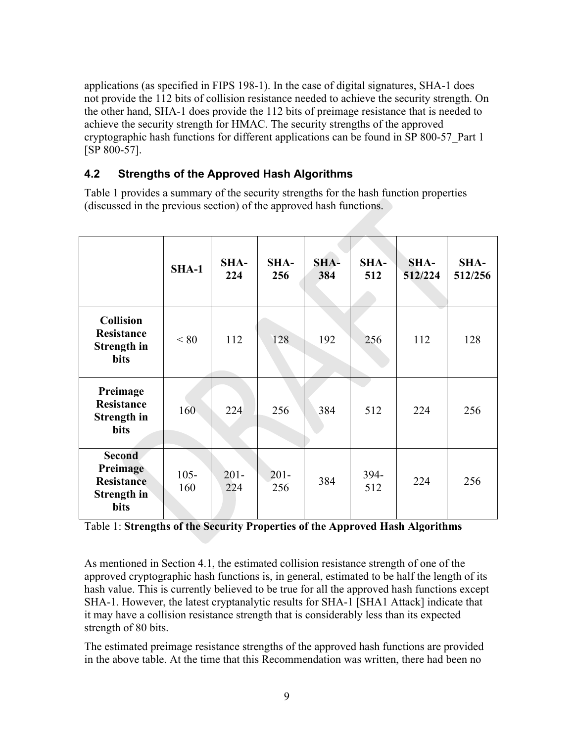applications (as specified in FIPS 198-1). In the case of digital signatures, SHA-1 does not provide the 112 bits of collision resistance needed to achieve the security strength. On the other hand, SHA-1 does provide the 112 bits of preimage resistance that is needed to achieve the security strength for HMAC. The security strengths of the approved cryptographic hash functions for different applications can be found in SP 800-57\_Part 1 [SP 800-57].

#### **4.2 Strengths of the Approved Hash Algorithms**

Table 1 provides a summary of the security strengths for the hash function properties (discussed in the previous section) of the approved hash functions.

|                                                                              | $SHA-1$        | SHA-<br>224    | SHA-<br>256    | SHA-<br>384 | SHA-<br>512 | SHA-<br>512/224 | SHA-<br>512/256 |
|------------------------------------------------------------------------------|----------------|----------------|----------------|-------------|-------------|-----------------|-----------------|
| <b>Collision</b><br>Resistance<br>Strength in<br><b>bits</b>                 | < 80           | 112            | 128            | 192         | 256         | 112             | 128             |
| Preimage<br><b>Resistance</b><br>Strength in<br><b>bits</b>                  | 160            | 224            | 256            | 384         | 512         | 224             | 256             |
| <b>Second</b><br>Preimage<br><b>Resistance</b><br>Strength in<br><b>bits</b> | $105 -$<br>160 | $201 -$<br>224 | $201 -$<br>256 | 384         | 394-<br>512 | 224             | 256             |

Table 1: **Strengths of the Security Properties of the Approved Hash Algorithms** 

As mentioned in Section 4.1, the estimated collision resistance strength of one of the approved cryptographic hash functions is, in general, estimated to be half the length of its hash value. This is currently believed to be true for all the approved hash functions except SHA-1. However, the latest cryptanalytic results for SHA-1 [SHA1 Attack] indicate that it may have a collision resistance strength that is considerably less than its expected strength of 80 bits.

The estimated preimage resistance strengths of the approved hash functions are provided in the above table. At the time that this Recommendation was written, there had been no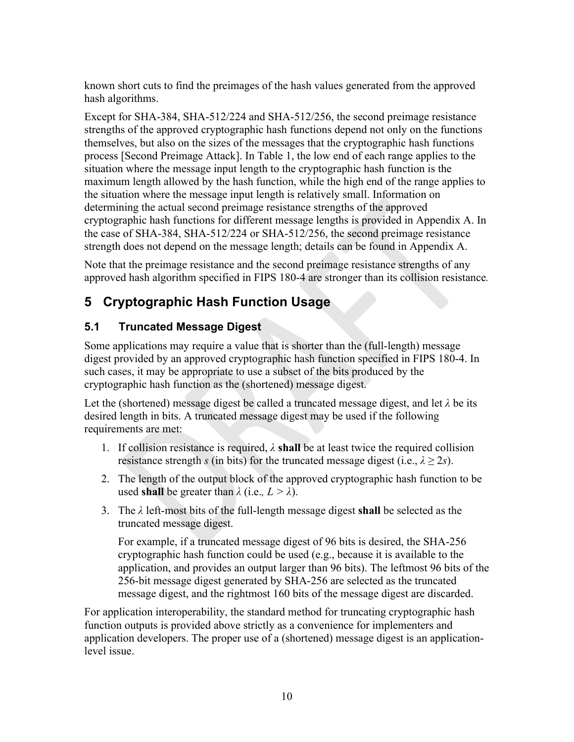known short cuts to find the preimages of the hash values generated from the approved hash algorithms.

Except for SHA-384, SHA-512/224 and SHA-512/256, the second preimage resistance strengths of the approved cryptographic hash functions depend not only on the functions themselves, but also on the sizes of the messages that the cryptographic hash functions process [Second Preimage Attack]. In Table 1, the low end of each range applies to the situation where the message input length to the cryptographic hash function is the maximum length allowed by the hash function, while the high end of the range applies to the situation where the message input length is relatively small. Information on determining the actual second preimage resistance strengths of the approved cryptographic hash functions for different message lengths is provided in Appendix A. In the case of SHA-384, SHA-512/224 or SHA-512/256, the second preimage resistance strength does not depend on the message length; details can be found in Appendix A.

Note that the preimage resistance and the second preimage resistance strengths of any approved hash algorithm specified in FIPS 180-4 are stronger than its collision resistance*.* 

# **5 Cryptographic Hash Function Usage**

#### **5.1 Truncated Message Digest**

Some applications may require a value that is shorter than the (full-length) message digest provided by an approved cryptographic hash function specified in FIPS 180-4. In such cases, it may be appropriate to use a subset of the bits produced by the cryptographic hash function as the (shortened) message digest.

Let the (shortened) message digest be called a truncated message digest, and let *λ* be its desired length in bits. A truncated message digest may be used if the following requirements are met:

- resistance strength *s* (in bits) for the truncated message digest (i.e.,  $\lambda \geq 2s$ ). 1. If collision resistance is required,  $\lambda$  **shall** be at least twice the required collision
- 2. The length of the output block of the approved cryptographic hash function to be used **shall** be greater than  $\lambda$  (i.e.,  $L > \lambda$ ).
- 3. The *λ* left-most bits of the full-length message digest **shall** be selected as the truncated message digest.

For example, if a truncated message digest of 96 bits is desired, the SHA-256 cryptographic hash function could be used (e.g., because it is available to the application, and provides an output larger than 96 bits). The leftmost 96 bits of the 256-bit message digest generated by SHA-256 are selected as the truncated message digest, and the rightmost 160 bits of the message digest are discarded.

For application interoperability, the standard method for truncating cryptographic hash function outputs is provided above strictly as a convenience for implementers and application developers. The proper use of a (shortened) message digest is an applicationlevel issue.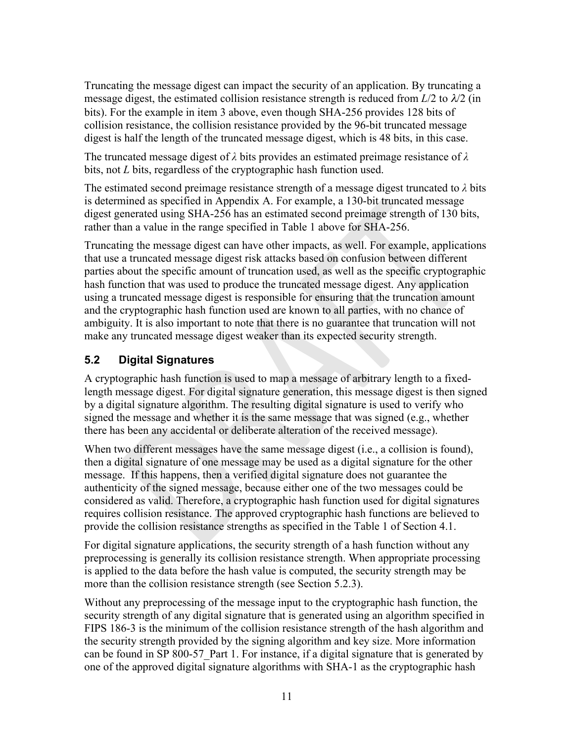Truncating the message digest can impact the security of an application. By truncating a message digest, the estimated collision resistance strength is reduced from  $L/2$  to  $\lambda/2$  (in bits). For the example in item 3 above, even though SHA-256 provides 128 bits of collision resistance, the collision resistance provided by the 96-bit truncated message digest is half the length of the truncated message digest, which is 48 bits, in this case.

The truncated message digest of *λ* bits provides an estimated preimage resistance of *λ* bits, not *L* bits, regardless of the cryptographic hash function used.

The estimated second preimage resistance strength of a message digest truncated to *λ* bits is determined as specified in Appendix A. For example, a 130-bit truncated message digest generated using SHA-256 has an estimated second preimage strength of 130 bits, rather than a value in the range specified in Table 1 above for SHA-256.

Truncating the message digest can have other impacts, as well. For example, applications that use a truncated message digest risk attacks based on confusion between different parties about the specific amount of truncation used, as well as the specific cryptographic hash function that was used to produce the truncated message digest. Any application using a truncated message digest is responsible for ensuring that the truncation amount and the cryptographic hash function used are known to all parties, with no chance of ambiguity. It is also important to note that there is no guarantee that truncation will not make any truncated message digest weaker than its expected security strength.

#### **5.2 Digital Signatures**

A cryptographic hash function is used to map a message of arbitrary length to a fixedlength message digest. For digital signature generation, this message digest is then signed by a digital signature algorithm. The resulting digital signature is used to verify who signed the message and whether it is the same message that was signed (e.g., whether there has been any accidental or deliberate alteration of the received message).

When two different messages have the same message digest (i.e., a collision is found), then a digital signature of one message may be used as a digital signature for the other message. If this happens, then a verified digital signature does not guarantee the authenticity of the signed message, because either one of the two messages could be considered as valid. Therefore, a cryptographic hash function used for digital signatures requires collision resistance. The approved cryptographic hash functions are believed to provide the collision resistance strengths as specified in the Table 1 of Section 4.1.

For digital signature applications, the security strength of a hash function without any preprocessing is generally its collision resistance strength. When appropriate processing is applied to the data before the hash value is computed, the security strength may be more than the collision resistance strength (see Section 5.2.3).

Without any preprocessing of the message input to the cryptographic hash function, the security strength of any digital signature that is generated using an algorithm specified in FIPS 186-3 is the minimum of the collision resistance strength of the hash algorithm and the security strength provided by the signing algorithm and key size. More information can be found in SP 800-57 Part 1. For instance, if a digital signature that is generated by one of the approved digital signature algorithms with SHA-1 as the cryptographic hash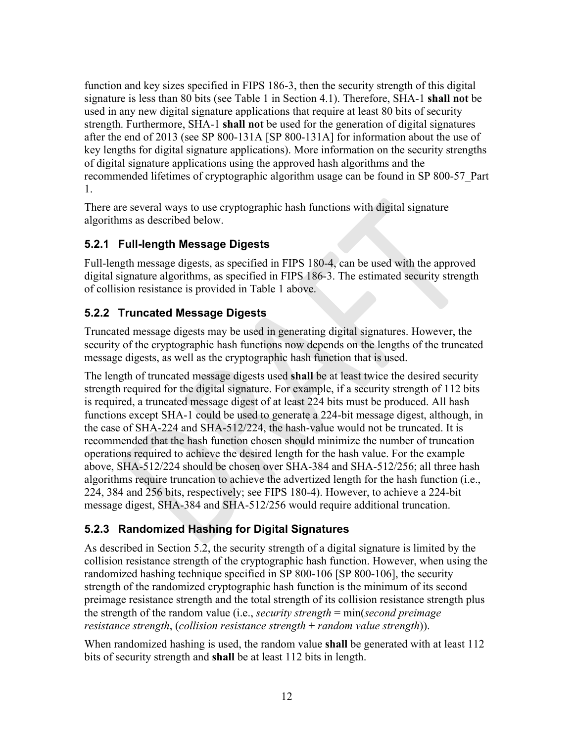signature is less than 80 bits (see Table 1 in Section 4.1). Therefore, SHA-1 **shall not** be function and key sizes specified in FIPS 186-3, then the security strength of this digital used in any new digital signature applications that require at least 80 bits of security strength. Furthermore, SHA-1 **shall not** be used for the generation of digital signatures after the end of 2013 (see SP 800-131A [SP 800-131A] for information about the use of key lengths for digital signature applications). More information on the security strengths of digital signature applications using the approved hash algorithms and the recommended lifetimes of cryptographic algorithm usage can be found in SP 800-57\_Part 1.

There are several ways to use cryptographic hash functions with digital signature algorithms as described below.

#### **5.2.1 Full-length Message Digests**

Full-length message digests, as specified in FIPS 180-4, can be used with the approved digital signature algorithms, as specified in FIPS 186-3. The estimated security strength of collision resistance is provided in Table 1 above.

#### **5.2.2 Truncated Message Digests**

Truncated message digests may be used in generating digital signatures. However, the security of the cryptographic hash functions now depends on the lengths of the truncated message digests, as well as the cryptographic hash function that is used.

The length of truncated message digests used **shall** be at least twice the desired security strength required for the digital signature. For example, if a security strength of 112 bits is required, a truncated message digest of at least 224 bits must be produced. All hash functions except SHA-1 could be used to generate a 224-bit message digest, although, in the case of SHA-224 and SHA-512/224, the hash-value would not be truncated. It is recommended that the hash function chosen should minimize the number of truncation operations required to achieve the desired length for the hash value. For the example above, SHA-512/224 should be chosen over SHA-384 and SHA-512/256; all three hash algorithms require truncation to achieve the advertized length for the hash function (i.e., 224, 384 and 256 bits, respectively; see FIPS 180-4). However, to achieve a 224-bit message digest, SHA-384 and SHA-512/256 would require additional truncation.

#### **5.2.3 Randomized Hashing for Digital Signatures**

resistance strength, (collision resistance strength  $+$  random value strength)). As described in Section 5.2, the security strength of a digital signature is limited by the collision resistance strength of the cryptographic hash function. However, when using the randomized hashing technique specified in SP 800-106 [SP 800-106], the security strength of the randomized cryptographic hash function is the minimum of its second preimage resistance strength and the total strength of its collision resistance strength plus the strength of the random value (i.e., *security strength* = min(*second preimage* 

*Ferriance Strengthance strengthance is used, the random value shall be generated with at least 112* bits of security strength and **shall** be at least 112 bits in length.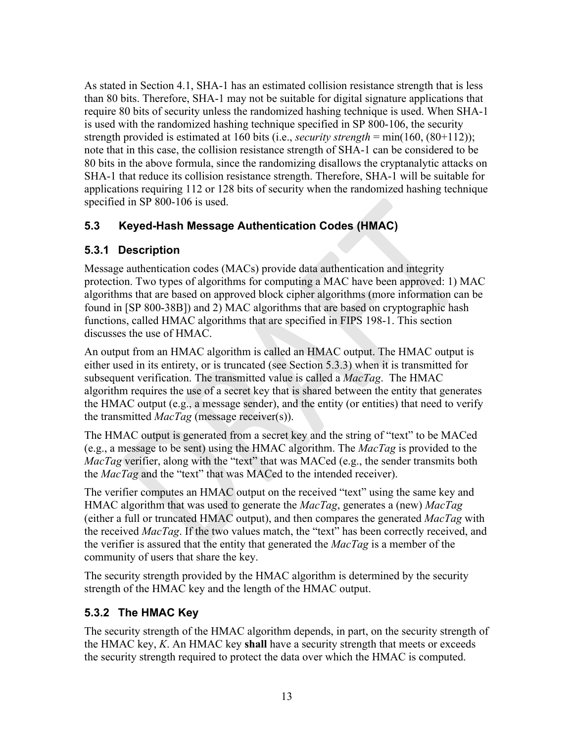specified in SP 800-106 is used. As stated in Section 4.1, SHA-1 has an estimated collision resistance strength that is less than 80 bits. Therefore, SHA-1 may not be suitable for digital signature applications that require 80 bits of security unless the randomized hashing technique is used. When SHA-1 is used with the randomized hashing technique specified in SP 800-106, the security strength provided is estimated at 160 bits (i.e., *security strength* = min(160, (80+112)); note that in this case, the collision resistance strength of SHA-1 can be considered to be 80 bits in the above formula, since the randomizing disallows the cryptanalytic attacks on SHA-1 that reduce its collision resistance strength. Therefore, SHA-1 will be suitable for applications requiring 112 or 128 bits of security when the randomized hashing technique

#### $5.3$ **5.3 Keyed-Hash Message Authentication Codes (HMAC)**

#### **5.3.1 Description**

Message authentication codes (MACs) provide data authentication and integrity protection. Two types of algorithms for computing a MAC have been approved: 1) MAC algorithms that are based on approved block cipher algorithms (more information can be found in [SP 800-38B]) and 2) MAC algorithms that are based on cryptographic hash functions, called HMAC algorithms that are specified in FIPS 198-1. This section discusses the use of HMAC.

An output from an HMAC algorithm is called an HMAC output. The HMAC output is either used in its entirety, or is truncated (see Section 5.3.3) when it is transmitted for subsequent verification. The transmitted value is called a *MacTag*. The HMAC algorithm requires the use of a secret key that is shared between the entity that generates the HMAC output (e.g., a message sender), and the entity (or entities) that need to verify the transmitted *MacTag* (message receiver(s)).

the MacTag and the "text" that was MACed to the intended receiver). The HMAC output is generated from a secret key and the string of "text" to be MACed (e.g., a message to be sent) using the HMAC algorithm. The *MacTag* is provided to the *MacTag* verifier, along with the "text" that was MACed (e.g., the sender transmits both

The verifier computes an HMAC output on the received "text" using the same key and HMAC algorithm that was used to generate the *MacTag*, generates a (new) *MacTag*  (either a full or truncated HMAC output), and then compares the generated *MacTag* with the received *MacTag*. If the two values match, the "text" has been correctly received, and the verifier is assured that the entity that generated the *MacTag* is a member of the community of users that share the key.

The security strength provided by the HMAC algorithm is determined by the security strength of the HMAC key and the length of the HMAC output.

### **5.3.2 The HMAC Key**

The security strength of the HMAC algorithm depends, in part, on the security strength of the HMAC key, *K*. An HMAC key **shall** have a security strength that meets or exceeds the security strength required to protect the data over which the HMAC is computed.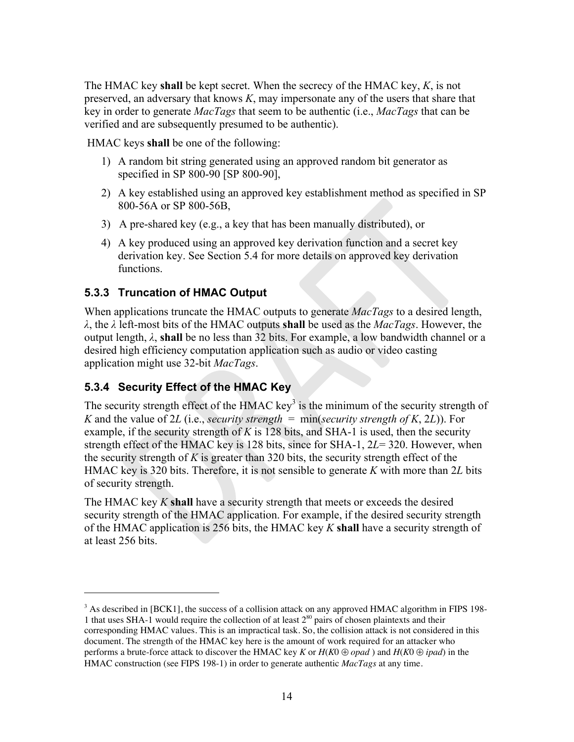The HMAC key **shall** be kept secret. When the secrecy of the HMAC key, *K*, is not preserved, an adversary that knows *K*, may impersonate any of the users that share that key in order to generate *MacTags* that seem to be authentic (i.e., *MacTags* that can be verified and are subsequently presumed to be authentic).

HMAC keys **shall** be one of the following:

- 1) A random bit string generated using an approved random bit generator as specified in SP 800-90 [SP 800-90],
- 2) A key established using an approved key establishment method as specified in SP 800-56A or SP 800-56B,
- 3) A pre-shared key (e.g., a key that has been manually distributed), or
- functions. 4) A key produced using an approved key derivation function and a secret key derivation key. See Section 5.4 for more details on approved key derivation

#### **5.3.3 Truncation of HMAC Output**

When applications truncate the HMAC outputs to generate *MacTags* to a desired length, *λ*, the *λ* left-most bits of the HMAC outputs **shall** be used as the *MacTags*. However, the output length, *λ*, **shall** be no less than 32 bits. For example, a low bandwidth channel or a desired high efficiency computation application such as audio or video casting application might use 32-bit *MacTags*.

#### **5.3.4 Security Effect of the HMAC Key**

<u>.</u>

The security strength effect of the HMAC key<sup>3</sup> is the minimum of the security strength of *K* and the value of 2*L* (i.e., *security strength* = min(*security strength of K*, 2*L*)). For example, if the security strength of *K* is 128 bits, and SHA-1 is used, then the security strength effect of the HMAC key is 128 bits, since for SHA-1, 2*L*= 320. However, when the security strength of  $K$  is greater than 320 bits, the security strength effect of the HMAC key is 320 bits. Therefore, it is not sensible to generate *K* with more than 2*L* bits of security strength.

The HMAC key *K* **shall** have a security strength that meets or exceeds the desired security strength of the HMAC application. For example, if the desired security strength of the HMAC application is 256 bits, the HMAC key *K* **shall** have a security strength of at least 256 bits.

 $3$  As described in [BCK1], the success of a collision attack on any approved HMAC algorithm in FIPS 198-1 that uses SHA-1 would require the collection of at least  $2^{80}$  pairs of chosen plaintexts and their corresponding HMAC values. This is an impractical task. So, the collision attack is not considered in this document. The strength of the HMAC key here is the amount of work required for an attacker who performs a brute-force attack to discover the HMAC key *K* or *H*(*K*0 ⊕ *opad* ) and *H*(*K*0 ⊕ *ipad*) in the HMAC construction (see FIPS 198-1) in order to generate authentic *MacTags* at any time.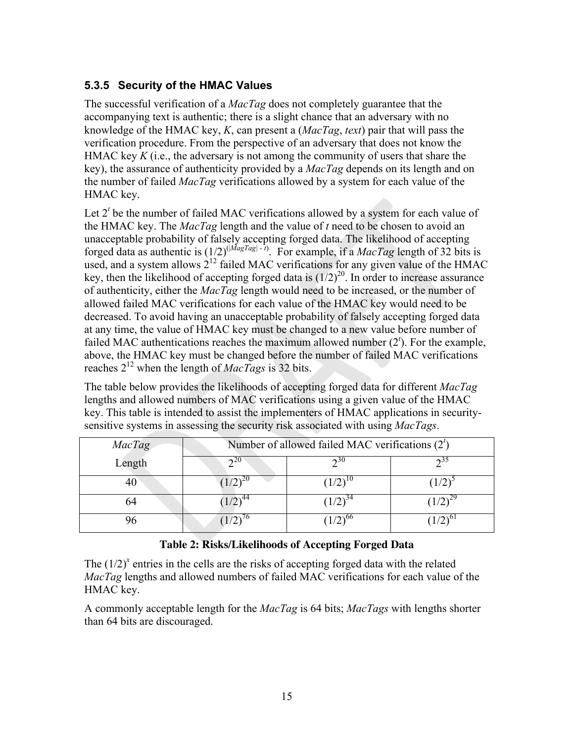#### **5.3.5 Security of the HMAC Values**

The successful verification of a *MacTag* does not completely guarantee that the accompanying text is authentic; there is a slight chance that an adversary with no knowledge of the HMAC key, *K*, can present a (*MacTag*, *text*) pair that will pass the verification procedure. From the perspective of an adversary that does not know the HMAC key *K* (i.e., the adversary is not among the community of users that share the key), the assurance of authenticity provided by a *MacTag* depends on its length and on the number of failed *MacTag* verifications allowed by a system for each value of the HMAC key.

Let  $2<sup>t</sup>$  be the number of failed MAC verifications allowed by a system for each value of the HMAC key. The *MacTag* length and the value of *t* need to be chosen to avoid an unacceptable probability of falsely accepting forged data. The likelihood of accepting forged data as authentic is  $(1/2)^{(|MagTag|-t)}$ . For example, if a *MacTag* length of 32 bits is used, and a system allows  $2^{12}$  failed MAC verifications for any given value of the HMAC key, then the likelihood of accepting forged data is  $(1/2)^{20}$ . In order to increase assurance of authenticity, either the *MacTag* length would need to be increased, or the number of allowed failed MAC verifications for each value of the HMAC key would need to be decreased. To avoid having an unacceptable probability of falsely accepting forged data at any time, the value of HMAC key must be changed to a new value before number of failed MAC authentications reaches the maximum allowed number  $(2<sup>t</sup>)$ . For the example, above, the HMAC key must be changed before the number of failed MAC verifications reaches 212 when the length of *MacTags* is 32 bits.

The table below provides the likelihoods of accepting forged data for different *MacTag*  lengths and allowed numbers of MAC verifications using a given value of the HMAC key. This table is intended to assist the implementers of HMAC applications in securitysensitive systems in assessing the security risk associated with using *MacTags*.

| MacTag |     | Number of allowed failed MAC verifications $(2t)$ |  |
|--------|-----|---------------------------------------------------|--|
| Length | າ∠∪ | ານ                                                |  |
|        |     |                                                   |  |
|        |     |                                                   |  |
|        |     |                                                   |  |

#### **Table 2: Risks/Likelihoods of Accepting Forged Data**

The  $(1/2)^x$  entries in the cells are the risks of accepting forged data with the related *MacTag* lengths and allowed numbers of failed MAC verifications for each value of the HMAC key.

A commonly acceptable length for the *MacTag* is 64 bits; *MacTags* with lengths shorter than 64 bits are discouraged.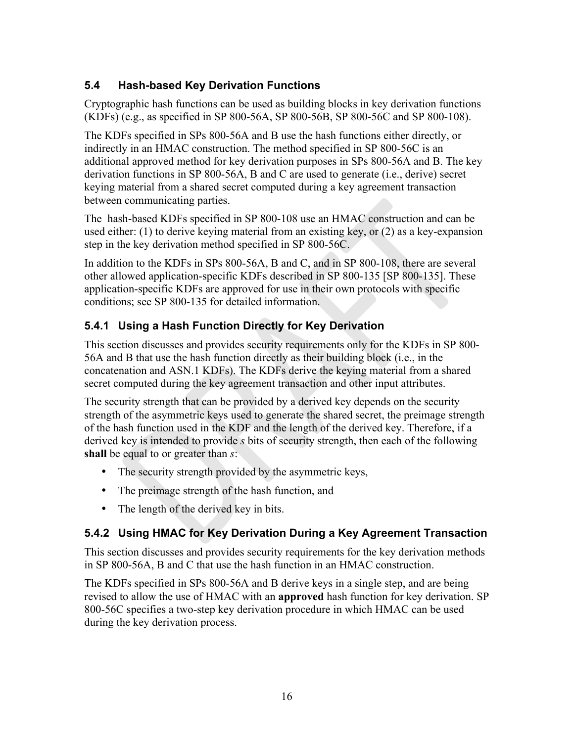#### <span id="page-20-0"></span>**5.4 Hash-based Key Derivation Functions**

Cryptographic hash functions can be used as building blocks in key derivation functions

 (KDFs) (e.g., as specified in SP 800-56A, SP 800-56B, SP 800-56C and SP 800-108). The KDFs specified in SPs 800-56A and B use the hash functions either directly, or indirectly in an HMAC construction. The method specified in SP 800-56C is an additional approved method for key derivation purposes in SPs 800-56A and B. The key derivation functions in SP 800-56A, B and C are used to generate (i.e., derive) secret keying material from a shared secret computed during a key agreement transaction between communicating parties.

The hash-based KDFs specified in SP 800-108 use an HMAC construction and can be used either: (1) to derive keying material from an existing key, or (2) as a key-expansion step in the key derivation method specified in SP 800-56C.

In addition to the KDFs in SPs 800-56A, B and C, and in SP 800-108, there are several other allowed application-specific KDFs described in SP 800-135 [SP 800-135]. These application-specific KDFs are approved for use in their own protocols with specific conditions; see SP 800-135 for detailed information.

#### **5.4.1 Using a Hash Function Directly for Key Derivation**

secret computed during the key agreement transaction and other input attributes. This section discusses and provides security requirements only for the KDFs in SP 800- 56A and B that use the hash function directly as their building block (i.e., in the concatenation and ASN.1 KDFs). The KDFs derive the keying material from a shared

The security strength that can be provided by a derived key depends on the security strength of the asymmetric keys used to generate the shared secret, the preimage strength of the hash function used in the KDF and the length of the derived key. Therefore, if a derived key is intended to provide *s* bits of security strength, then each of the following **shall** be equal to or greater than *s*:

- The security strength provided by the asymmetric keys,
- The preimage strength of the hash function, and
- The length of the derived key in bits.

### **5.4.2 Using HMAC for Key Derivation During a Key Agreement Transaction**

This section discusses and provides security requirements for the key derivation methods in SP 800-56A, B and C that use the hash function in an HMAC construction.

The KDFs specified in SPs 800-56A and B derive keys in a single step, and are being revised to allow the use of HMAC with an **approved** hash function for key derivation. SP 800-56C specifies a two-step key derivation procedure in which HMAC can be used during the key derivation process.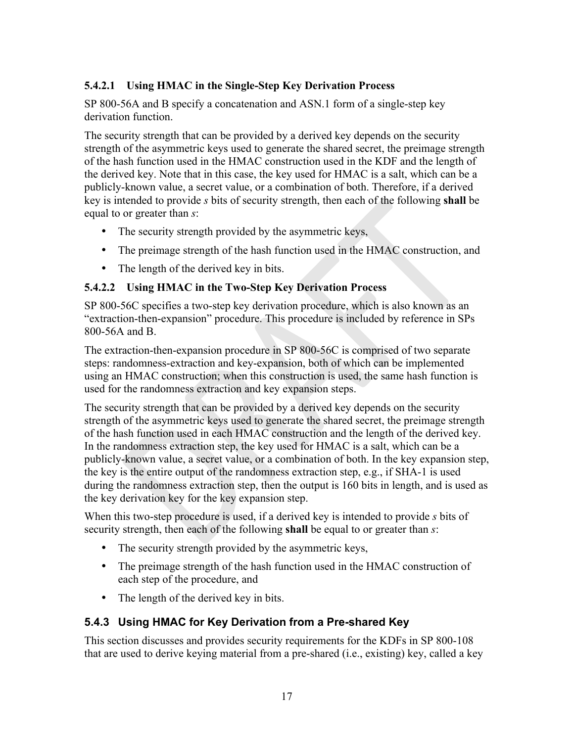#### <span id="page-21-0"></span>**5.4.2.1 Using HMAC in the Single-Step Key Derivation Process**

SP 800-56A and B specify a concatenation and ASN.1 form of a single-step key derivation function.

The security strength that can be provided by a derived key depends on the security strength of the asymmetric keys used to generate the shared secret, the preimage strength of the hash function used in the HMAC construction used in the KDF and the length of the derived key. Note that in this case, the key used for HMAC is a salt, which can be a publicly-known value, a secret value, or a combination of both. Therefore, if a derived key is intended to provide *s* bits of security strength, then each of the following **shall** be equal to or greater than *s*:

- The security strength provided by the asymmetric keys,
- The preimage strength of the hash function used in the HMAC construction, and
- The length of the derived key in bits.

#### **5.4.2.2 Using HMAC in the Two-Step Key Derivation Process**

SP 800-56C specifies a two-step key derivation procedure, which is also known as an "extraction-then-expansion" procedure. This procedure is included by reference in SPs 800-56A and B.

The extraction-then-expansion procedure in SP 800-56C is comprised of two separate steps: randomness-extraction and key-expansion, both of which can be implemented using an HMAC construction; when this construction is used, the same hash function is used for the randomness extraction and key expansion steps.

The security strength that can be provided by a derived key depends on the security strength of the asymmetric keys used to generate the shared secret, the preimage strength of the hash function used in each HMAC construction and the length of the derived key. In the randomness extraction step, the key used for HMAC is a salt, which can be a publicly-known value, a secret value, or a combination of both. In the key expansion step, the key is the entire output of the randomness extraction step, e.g., if SHA-1 is used during the randomness extraction step, then the output is 160 bits in length, and is used as the key derivation key for the key expansion step.

When this two-step procedure is used, if a derived key is intended to provide *s* bits of security strength, then each of the following **shall** be equal to or greater than *s*:

- The security strength provided by the asymmetric keys,
- The preimage strength of the hash function used in the HMAC construction of each step of the procedure, and
- The length of the derived key in bits.

#### **5.4.3 Using HMAC for Key Derivation from a Pre-shared Key**

This section discusses and provides security requirements for the KDFs in SP 800-108 that are used to derive keying material from a pre-shared (i.e., existing) key, called a key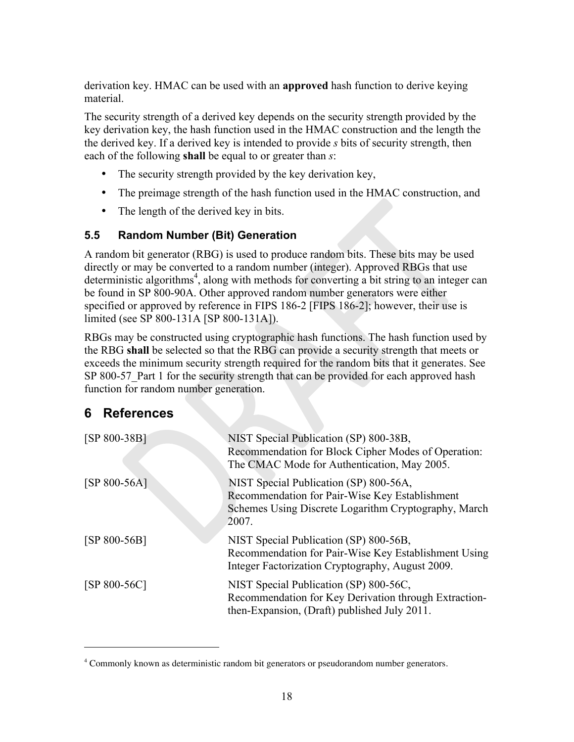<span id="page-22-0"></span>derivation key. HMAC can be used with an **approved** hash function to derive keying material.

The security strength of a derived key depends on the security strength provided by the key derivation key, the hash function used in the HMAC construction and the length the the derived key. If a derived key is intended to provide *s* bits of security strength, then each of the following **shall** be equal to or greater than *s*:

- The security strength provided by the key derivation key,
- The preimage strength of the hash function used in the HMAC construction, and
- The length of the derived key in bits.

#### **5.5 Random Number (Bit) Generation**

A random bit generator (RBG) is used to produce random bits. These bits may be used directly or may be converted to a random number (integer). Approved RBGs that use deterministic algorithms<sup>4</sup>, along with methods for converting a bit string to an integer can be found in SP 800-90A. Other approved random number generators were either specified or approved by reference in FIPS 186-2 [FIPS 186-2]; however, their use is limited (see SP 800-131A [SP 800-131A]).

RBGs may be constructed using cryptographic hash functions. The hash function used by the RBG **shall** be selected so that the RBG can provide a security strength that meets or exceeds the minimum security strength required for the random bits that it generates. See SP 800-57 Part 1 for the security strength that can be provided for each approved hash function for random number generation.

### **6 References**

 $\overline{a}$ 

| $[SP 800-38B]$ | NIST Special Publication (SP) 800-38B,<br>Recommendation for Block Cipher Modes of Operation:<br>The CMAC Mode for Authentication, May 2005.              |
|----------------|-----------------------------------------------------------------------------------------------------------------------------------------------------------|
| $[SP 800-56A]$ | NIST Special Publication (SP) 800-56A,<br>Recommendation for Pair-Wise Key Establishment<br>Schemes Using Discrete Logarithm Cryptography, March<br>2007. |
| $[SP 800-56B]$ | NIST Special Publication (SP) 800-56B,<br>Recommendation for Pair-Wise Key Establishment Using<br>Integer Factorization Cryptography, August 2009.        |
| $[SP 800-56C]$ | NIST Special Publication (SP) 800-56C,<br>Recommendation for Key Derivation through Extraction-<br>then-Expansion, (Draft) published July 2011.           |

<sup>&</sup>lt;sup>4</sup> Commonly known as deterministic random bit generators or pseudorandom number generators.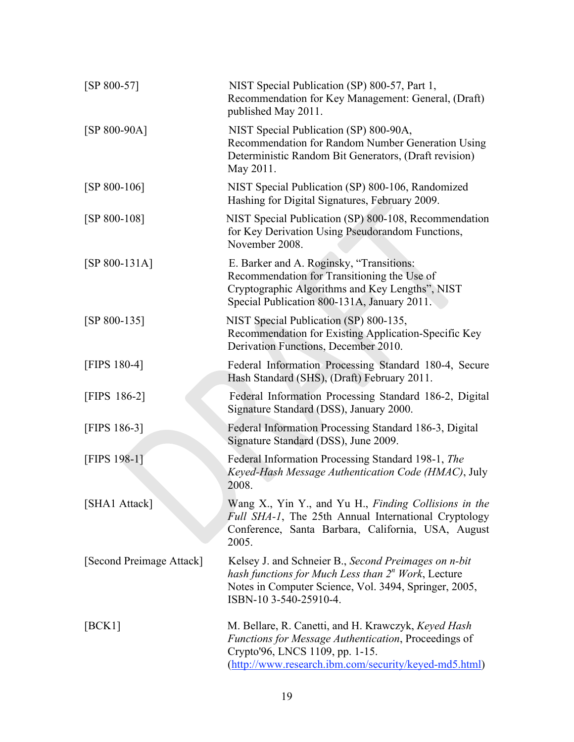| $[SP 800-57]$            | NIST Special Publication (SP) 800-57, Part 1,<br>Recommendation for Key Management: General, (Draft)<br>published May 2011.                                                                             |
|--------------------------|---------------------------------------------------------------------------------------------------------------------------------------------------------------------------------------------------------|
| $[SP 800-90A]$           | NIST Special Publication (SP) 800-90A,<br>Recommendation for Random Number Generation Using<br>Deterministic Random Bit Generators, (Draft revision)<br>May 2011.                                       |
| $[SP 800-106]$           | NIST Special Publication (SP) 800-106, Randomized<br>Hashing for Digital Signatures, February 2009.                                                                                                     |
| $[SP 800-108]$           | NIST Special Publication (SP) 800-108, Recommendation<br>for Key Derivation Using Pseudorandom Functions,<br>November 2008.                                                                             |
| $[SP 800-131A]$          | E. Barker and A. Roginsky, "Transitions:<br>Recommendation for Transitioning the Use of<br>Cryptographic Algorithms and Key Lengths", NIST<br>Special Publication 800-131A, January 2011.               |
| $[SP 800-135]$           | NIST Special Publication (SP) 800-135,<br>Recommendation for Existing Application-Specific Key<br>Derivation Functions, December 2010.                                                                  |
| [FIPS 180-4]             | Federal Information Processing Standard 180-4, Secure<br>Hash Standard (SHS), (Draft) February 2011.                                                                                                    |
| [FIPS 186-2]             | Federal Information Processing Standard 186-2, Digital<br>Signature Standard (DSS), January 2000.                                                                                                       |
| [FIPS 186-3]             | Federal Information Processing Standard 186-3, Digital<br>Signature Standard (DSS), June 2009.                                                                                                          |
| [FIPS 198-1]             | Federal Information Processing Standard 198-1, The<br>Keyed-Hash Message Authentication Code (HMAC), July<br>2008.                                                                                      |
| [SHA1 Attack]            | Wang X., Yin Y., and Yu H., Finding Collisions in the<br>Full SHA-1, The 25th Annual International Cryptology<br>Conference, Santa Barbara, California, USA, August<br>2005.                            |
| [Second Preimage Attack] | Kelsey J. and Schneier B., Second Preimages on n-bit<br>hash functions for Much Less than $2n$ Work, Lecture<br>Notes in Computer Science, Vol. 3494, Springer, 2005,<br>ISBN-10 3-540-25910-4.         |
| [BCK1]                   | M. Bellare, R. Canetti, and H. Krawczyk, Keyed Hash<br>Functions for Message Authentication, Proceedings of<br>Crypto'96, LNCS 1109, pp. 1-15.<br>(http://www.research.ibm.com/security/keyed-md5.html) |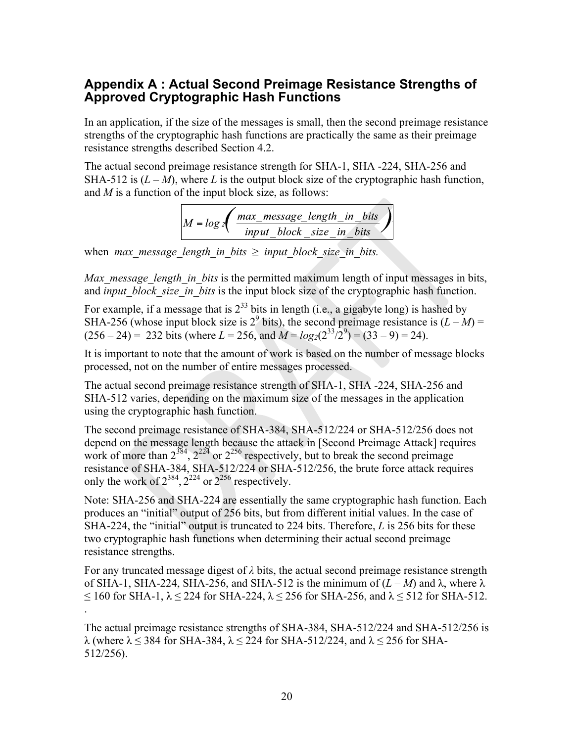#### <span id="page-24-0"></span>**Appendix A : Actual Second Preimage Resistance Strengths of Approved Cryptographic Hash Functions**

In an application, if the size of the messages is small, then the second preimage resistance strengths of the cryptographic hash functions are practically the same as their preimage resistance strengths described Section 4.2.

The actual second preimage resistance strength for SHA-1, SHA -224, SHA-256 and SHA-512 is  $(L - M)$ , where *L* is the output block size of the cryptographic hash function, and *M* is a function of the input block size, as follows:  $\overline{\phantom{a}}$ 

$$
M = log 2 \left( \frac{max\_message\_length\_in\_bits}{input\_block\_size\_in\_bits} \right)
$$

when *max* message length in bits  $\geq$  *input block size in bits.* 

*Max\_message\_length\_in\_bits* is the permitted maximum length of input messages in bits, and *input* block size in bits is the input block size of the cryptographic hash function.

For example, if a message that is  $2^{33}$  bits in length (i.e., a gigabyte long) is hashed by SHA-256 (whose input block size is  $2^9$  bits), the second preimage resistance is  $(L - M)$  =  $(256 - 24) = 232$  bits (where  $L = 256$ , and  $M = log_2(2^{33}/2^9) = (33 - 9) = 24$ ).

It is important to note that the amount of work is based on the number of message blocks processed, not on the number of entire messages processed.

The actual second preimage resistance strength of SHA-1, SHA -224, SHA-256 and SHA-512 varies, depending on the maximum size of the messages in the application using the cryptographic hash function.

only the work of  $2^{384}$ ,  $2^{224}$  or  $2^{256}$  respectively. The second preimage resistance of SHA-384, SHA-512/224 or SHA-512/256 does not depend on the message length because the attack in [Second Preimage Attack] requires work of more than  $2^{384}$ ,  $2^{224}$  or  $2^{256}$  respectively, but to break the second preimage resistance of SHA-384, SHA-512/224 or SHA-512/256, the brute force attack requires

Note: SHA-256 and SHA-224 are essentially the same cryptographic hash function. Each produces an "initial" output of 256 bits, but from different initial values. In the case of SHA-224, the "initial" output is truncated to 224 bits. Therefore, *L* is 256 bits for these two cryptographic hash functions when determining their actual second preimage resistance strengths.

For any truncated message digest of  $\lambda$  bits, the actual second preimage resistance strength of SHA-1, SHA-224, SHA-256, and SHA-512 is the minimum of  $(L-M)$  and  $\lambda$ , where  $\lambda$  $\leq$  160 for SHA-1,  $\lambda \leq$  224 for SHA-224,  $\lambda \leq$  256 for SHA-256, and  $\lambda \leq$  512 for SHA-512. .

The actual preimage resistance strengths of SHA-384, SHA-512/224 and SHA-512/256 is λ (where λ ≤ 384 for SHA-384, λ ≤ 224 for SHA-512/224, and λ ≤ 256 for SHA-512/256).